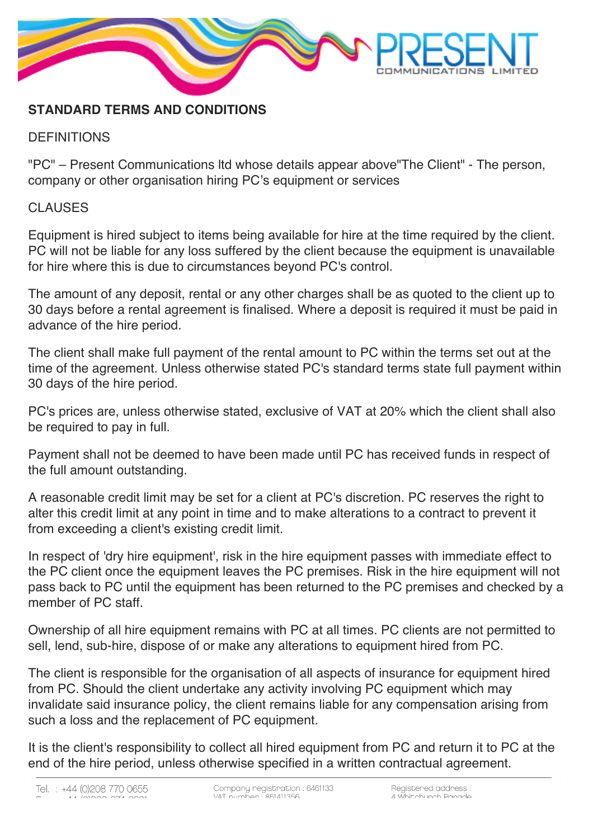

## **STANDARD TERMS AND CONDITIONS**

## **DEFINITIONS**

"PC" – Present Communications ltd whose details appear above"The Client" - The person, company or other organisation hiring PC's equipment or services

## CLAUSES

Equipment is hired subject to items being available for hire at the time required by the client. PC will not be liable for any loss suffered by the client because the equipment is unavailable for hire where this is due to circumstances beyond PC's control.

The amount of any deposit, rental or any other charges shall be as quoted to the client up to 30 days before a rental agreement is finalised. Where a deposit is required it must be paid in advance of the hire period.

The client shall make full payment of the rental amount to PC within the terms set out at the time of the agreement. Unless otherwise stated PC's standard terms state full payment within 30 days of the hire period.

PC's prices are, unless otherwise stated, exclusive of VAT at 20% which the client shall also be required to pay in full.

Payment shall not be deemed to have been made until PC has received funds in respect of the full amount outstanding.

A reasonable credit limit may be set for a client at PC's discretion. PC reserves the right to alter this credit limit at any point in time and to make alterations to a contract to prevent it from exceeding a client's existing credit limit.

In respect of 'dry hire equipment', risk in the hire equipment passes with immediate effect to the PC client once the equipment leaves the PC premises. Risk in the hire equipment will not pass back to PC until the equipment has been returned to the PC premises and checked by a member of PC staff.

Ownership of all hire equipment remains with PC at all times. PC clients are not permitted to sell, lend, sub-hire, dispose of or make any alterations to equipment hired from PC.

The client is responsible for the organisation of all aspects of insurance for equipment hired from PC. Should the client undertake any activity involving PC equipment which may invalidate said insurance policy, the client remains liable for any compensation arising from such a loss and the replacement of PC equipment.

It is the client's responsibility to collect all hired equipment from PC and return it to PC at the end of the hire period, unless otherwise specified in a written contractual agreement.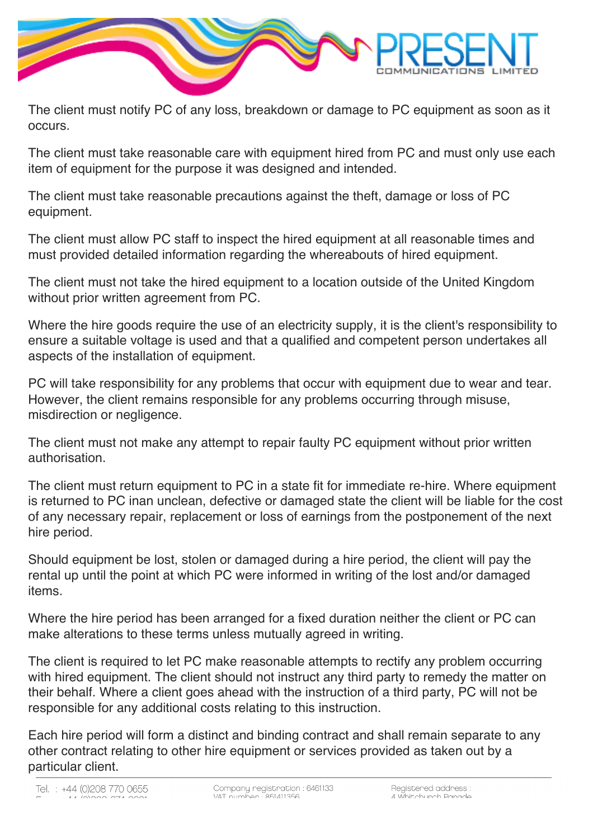

The client must notify PC of any loss, breakdown or damage to PC equipment as soon as it occurs.

The client must take reasonable care with equipment hired from PC and must only use each item of equipment for the purpose it was designed and intended.

The client must take reasonable precautions against the theft, damage or loss of PC equipment.

The client must allow PC staff to inspect the hired equipment at all reasonable times and must provided detailed information regarding the whereabouts of hired equipment.

The client must not take the hired equipment to a location outside of the United Kingdom without prior written agreement from PC.

Where the hire goods require the use of an electricity supply, it is the client's responsibility to ensure a suitable voltage is used and that a qualified and competent person undertakes all aspects of the installation of equipment.

PC will take responsibility for any problems that occur with equipment due to wear and tear. However, the client remains responsible for any problems occurring through misuse, misdirection or negligence.

The client must not make any attempt to repair faulty PC equipment without prior written authorisation.

The client must return equipment to PC in a state fit for immediate re-hire. Where equipment is returned to PC inan unclean, defective or damaged state the client will be liable for the cost of any necessary repair, replacement or loss of earnings from the postponement of the next hire period.

Should equipment be lost, stolen or damaged during a hire period, the client will pay the rental up until the point at which PC were informed in writing of the lost and/or damaged items.

Where the hire period has been arranged for a fixed duration neither the client or PC can make alterations to these terms unless mutually agreed in writing.

The client is required to let PC make reasonable attempts to rectify any problem occurring with hired equipment. The client should not instruct any third party to remedy the matter on their behalf. Where a client goes ahead with the instruction of a third party, PC will not be responsible for any additional costs relating to this instruction.

Each hire period will form a distinct and binding contract and shall remain separate to any other contract relating to other hire equipment or services provided as taken out by a particular client.